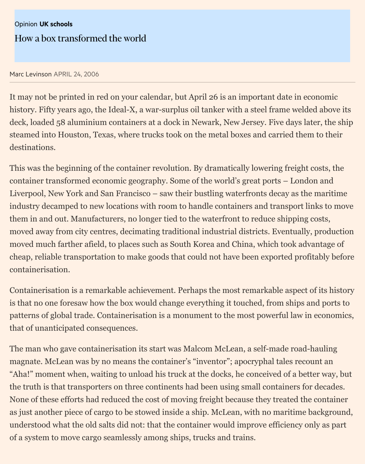It may not be printed in red on your calendar, but April 26 is an important date in eq history. Fifty years ago, the Ideal-X, a war-surplus oil tanker with a steel frame weld deck, loaded 58 aluminium containers at a dock in Newark, New Jersey. Five days la steamed into Houston, Texas, where trucks took on the metal boxes and carried there destinations.

This was the beginning of the container revolution. By dramatically lowering freight container transformed economic geography. Some of the world's great ports – London Liverpool, New York and San Francisco – saw their bustling waterfronts decay as the industry decamped to new locations with room to handle containers and transport li them in and out. Manufacturers, no longer tied to the waterfront to reduce shipping moved away from city centres, decimating traditional industrial districts. Eventually moved much farther afield, to places such as South Korea and China, which took adv cheap, reliable transportation to make goods that could not have been exported prof containerisation.

Containerisation is a remarkable achievement. Perhaps the most remarkable aspect is that no one foresaw how the box would change everything it touched, from ships a patterns of global trade. Containerisation is a monument to the most powerful law in that of unanticipated consequences.

The man who gave containerisation its start was Malcom McLean, a self-made roadmagnate. McLean was by no means the container's "inventor"; apocryphal tales reco "Aha!" moment when, waiting to unload his truck at the docks, he conceived of a bet the truth is that transporters on three continents had been using small containers for None of these efforts had reduced the cost of moving freight because they treated the as just another piece of cargo to be stowed inside a ship. McLean, with no maritime l understood what the old salts did not: that the container would improve efficiency on of a system to move cargo seamlessly among ships, trucks and trains.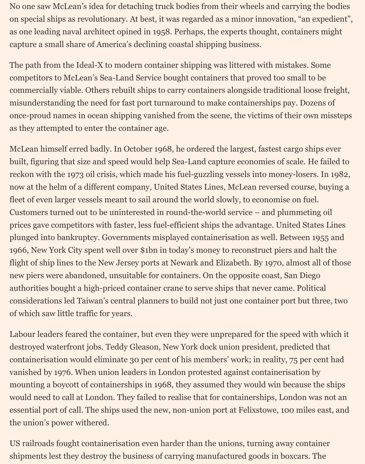No one saw McLean's idea for detaching truck bodies from their wheels and carrying the bodies on special ships as revolutionary. At best, it was regarded as a minor innovation, "an expedient", as one leading naval architect opined in 1958. Perhaps, the experts thought, containers might capture a small share of America's declining coastal shipping business.

The path from the Ideal-X to modern container shipping was littered with mistakes. Some competitors to McLean's Sea-Land Service bought containers that proved too small to be commercially viable. Others rebuilt ships to carry containers alongside traditional loose freight, misunderstanding the need for fast port turnaround to make containerships pay. Dozens of once-proud names in ocean shipping vanished from the scene, the victims of their own missteps as they attempted to enter the container age.

McLean himself erred badly. In October 1968, he ordered the largest, fastest cargo ships ever built, figuring that size and speed would help Sea-Land capture economies of scale. He failed to reckon with the 1973 oil crisis, which made his fuel-guzzling vessels into money-losers. In 1982, now at the helm of a different company, United States Lines, McLean reversed course, buying a fleet of even larger vessels meant to sail around the world slowly, to economise on fuel. Customers turned out to be uninterested in round-the-world service – and plummeting oil prices gave competitors with faster, less fuel-efficient ships the advantage. United States Lines plunged into bankruptcy. Governments misplayed containerisation as well. Between 1955 and 1966, New York City spent well over \$1bn in today's money to reconstruct piers and halt the flight of ship lines to the New Jersey ports at Newark and Elizabeth. By 1970, almost all of those new piers were abandoned, unsuitable for containers. On the opposite coast, San Diego authorities bought a high-priced container crane to serve ships that never came. Political considerations led Taiwan's central planners to build not just one container port but three, two of which saw little traffic for years.

Labour leaders feared the container, but even they were unprepared for the speed with which it destroyed waterfront jobs. Teddy Gleason, New York dock union president, predicted that containerisation would eliminate 30 per cent of his members' work; in reality, 75 per cent had vanished by 1976. When union leaders in London protested against containerisation by mounting a boycott of containerships in 1968, they assumed they would win because the ships would need to call at London. They failed to realise that for containerships, London was not an essential port of call. The ships used the new, non-union port at Felixstowe, 100 miles east, and the union's power withered.

US railroads fought containerisation even harder than the unions, turning away container shipments lest they destroy the business of carrying manufactured goods in boxcars. The